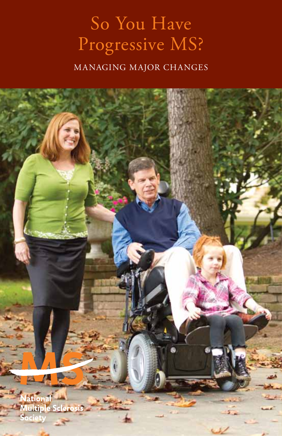# So You Have Progressive MS?

managing major changes

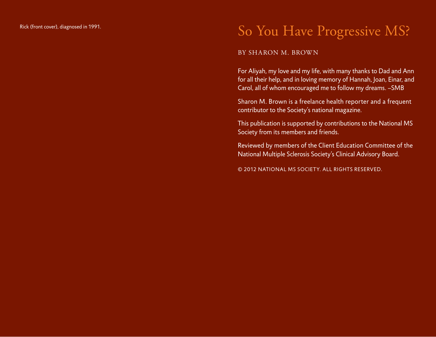# Rick (front cover), diagnosed in 1991.  $\,$  So You Have Progressive MS?

#### BY SHARON M. BROWN

For Aliyah, my love and my life, with many thanks to Dad and Ann for all their help, and in loving memory of Hannah, Joan, Einar, and Carol, all of whom encouraged me to follow my dreams. –SMB

Sharon M. Brown is a freelance health reporter and a frequent contributor to the Society's national magazine.

This publication is supported by contributions to the National MS Society from its members and friends.

Reviewed by members of the Client Education Committee of the National Multiple Sclerosis Society's Clinical Advisory Board.

© 2012 National MS Society. All rights reserved.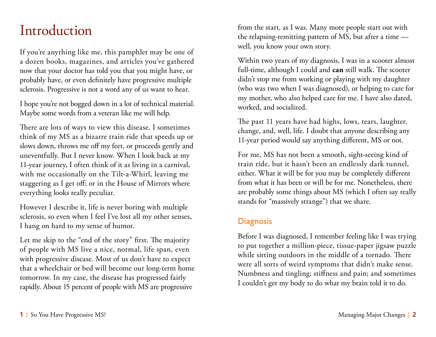# Introduction

If you're anything like me, this pamphlet may be one of a dozen books, magazines, and articles you've gathered now that your doctor has told you that you might have, or probably have, or even definitely have progressive multiple sclerosis. Progressive is not a word any of us want to hear.

I hope you're not bogged down in a lot of technical material. Maybe some words from a veteran like me will help.

There are lots of ways to view this disease. I sometimes think of my MS as a bizarre train ride that speeds up or slows down, throws me off my feet, or proceeds gently and uneventfully. But I never know. When I look back at my 11-year journey, I often think of it as living in a carnival, with me occasionally on the Tilt-a-Whirl, leaving me staggering as I get off; or in the House of Mirrors where everything looks really peculiar.

However I describe it, life is never boring with multiple sclerosis, so even when I feel I've lost all my other senses, I hang on hard to my sense of humor.

Let me skip to the "end of the story" first. The majority of people with MS live a nice, normal, life span, even with progressive disease. Most of us don't have to expect that a wheelchair or bed will become our long-term home tomorrow. In my case, the disease has progressed fairly rapidly. About 15 percent of people with MS are progressive

from the start, as I was. Many more people start out with the relapsing-remitting pattern of MS, but after a time well, you know your own story.

Within two years of my diagnosis, I was in a scooter almost full-time, although I could and **can** still walk. The scooter didn't stop me from working or playing with my daughter (who was two when I was diagnosed), or helping to care for my mother, who also helped care for me. I have also dated, worked, and socialized.

The past 11 years have had highs, lows, tears, laughter, change, and, well, life. I doubt that anyone describing any 11-year period would say anything different, MS or not.

For me, MS has not been a smooth, sight-seeing kind of train ride, but it hasn't been an endlessly dark tunnel, either. What it will be for you may be completely different from what it has been or will be for me. Nonetheless, there are probably some things about MS (which I often say really stands for "massively strange") that we share.

#### **Diagnosis**

Before I was diagnosed, I remember feeling like I was trying to put together a million-piece, tissue-paper jigsaw puzzle while sitting outdoors in the middle of a tornado. There were all sorts of weird symptoms that didn't make sense. Numbness and tingling; stiffness and pain; and sometimes I couldn't get my body to do what my brain told it to do.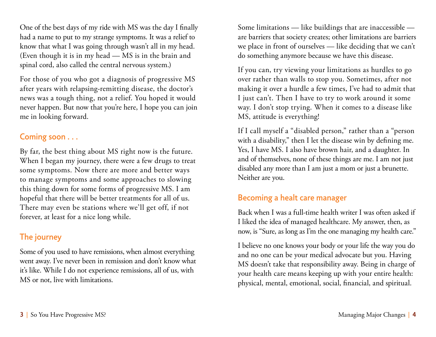One of the best days of my ride with MS was the day I finally had a name to put to my strange symptoms. It was a relief to know that what I was going through wasn't all in my head. (Even though it is in my head — MS is in the brain and spinal cord, also called the central nervous system.)

For those of you who got a diagnosis of progressive MS after years with relapsing-remitting disease, the doctor's news was a tough thing, not a relief. You hoped it would never happen. But now that you're here, I hope you can join me in looking forward.

#### Coming soon . . .

By far, the best thing about MS right now is the future. When I began my journey, there were a few drugs to treat some symptoms. Now there are more and better ways to manage symptoms and some approaches to slowing this thing down for some forms of progressive MS. I am hopeful that there will be better treatments for all of us. There may even be stations where we'll get off, if not forever, at least for a nice long while.

### The journey

Some of you used to have remissions, when almost everything went away. I've never been in remission and don't know what it's like. While I do not experience remissions, all of us, with MS or not, live with limitations.

Some limitations — like buildings that are inaccessible are barriers that society creates; other limitations are barriers we place in front of ourselves — like deciding that we can't do something anymore because we have this disease.

If you can, try viewing your limitations as hurdles to go over rather than walls to stop you. Sometimes, after not making it over a hurdle a few times, I've had to admit that I just can't. Then I have to try to work around it some way. I don't stop trying. When it comes to a disease like MS, attitude is everything!

If I call myself a "disabled person," rather than a "person with a disability," then I let the disease win by defining me. Yes, I have MS. I also have brown hair, and a daughter. In and of themselves, none of these things are me. I am not just disabled any more than I am just a mom or just a brunette. Neither are you.

#### Becoming a healt care manager

Back when I was a full-time health writer I was often asked if I liked the idea of managed healthcare. My answer, then, as now, is "Sure, as long as I'm the one managing my health care."

I believe no one knows your body or your life the way you do and no one can be your medical advocate but you. Having MS doesn't take that responsibility away. Being in charge of your health care means keeping up with your entire health: physical, mental, emotional, social, financial, and spiritual.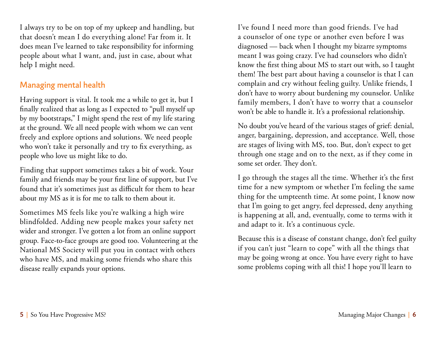I always try to be on top of my upkeep and handling, but that doesn't mean I do everything alone! Far from it. It does mean I've learned to take responsibility for informing people about what I want, and, just in case, about what help I might need.

### Managing mental health

Having support is vital. It took me a while to get it, but I finally realized that as long as I expected to "pull myself up by my bootstraps," I might spend the rest of my life staring at the ground. We all need people with whom we can vent freely and explore options and solutions. We need people who won't take it personally and try to fix everything, as people who love us might like to do.

Finding that support sometimes takes a bit of work. Your family and friends may be your first line of support, but I've found that it's sometimes just as difficult for them to hear about my MS as it is for me to talk to them about it.

Sometimes MS feels like you're walking a high wire blindfolded. Adding new people makes your safety net wider and stronger. I've gotten a lot from an online support group. Face-to-face groups are good too. Volunteering at the National MS Society will put you in contact with others who have MS, and making some friends who share this disease really expands your options.

I've found I need more than good friends. I've had a counselor of one type or another even before I was diagnosed — back when I thought my bizarre symptoms meant I was going crazy. I've had counselors who didn't know the first thing about MS to start out with, so I taught them! The best part about having a counselor is that I can complain and cry without feeling guilty. Unlike friends, I don't have to worry about burdening my counselor. Unlike family members, I don't have to worry that a counselor won't be able to handle it. It's a professional relationship.

No doubt you've heard of the various stages of grief: denial, anger, bargaining, depression, and acceptance. Well, those are stages of living with MS, too. But, don't expect to get through one stage and on to the next, as if they come in some set order. They don't.

I go through the stages all the time. Whether it's the first time for a new symptom or whether I'm feeling the same thing for the umpteenth time. At some point, I know now that I'm going to get angry, feel depressed, deny anything is happening at all, and, eventually, come to terms with it and adapt to it. It's a continuous cycle.

Because this is a disease of constant change, don't feel guilty if you can't just "learn to cope" with all the things that may be going wrong at once. You have every right to have some problems coping with all this! I hope you'll learn to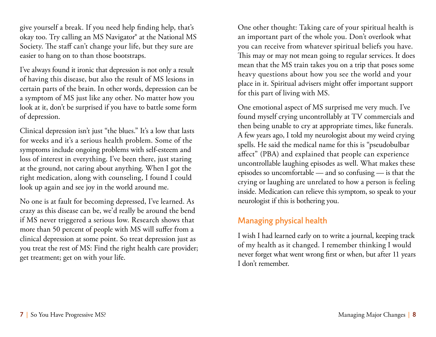give yourself a break. If you need help finding help, that's okay too. Try calling an MS Navigator® at the National MS Society. The staff can't change your life, but they sure are easier to hang on to than those bootstraps.

I've always found it ironic that depression is not only a result of having this disease, but also the result of MS lesions in certain parts of the brain. In other words, depression can be a symptom of MS just like any other. No matter how you look at it, don't be surprised if you have to battle some form of depression.

Clinical depression isn't just "the blues." It's a low that lasts for weeks and it's a serious health problem. Some of the symptoms include ongoing problems with self-esteem and loss of interest in everything. I've been there, just staring at the ground, not caring about anything. When I got the right medication, along with counseling, I found I could look up again and see joy in the world around me.

No one is at fault for becoming depressed, I've learned. As crazy as this disease can be, we'd really be around the bend if MS never triggered a serious low. Research shows that more than 50 percent of people with MS will suffer from a clinical depression at some point. So treat depression just as you treat the rest of MS: Find the right health care provider; get treatment; get on with your life.

One other thought: Taking care of your spiritual health is an important part of the whole you. Don't overlook what you can receive from whatever spiritual beliefs you have. This may or may not mean going to regular services. It does mean that the MS train takes you on a trip that poses some heavy questions about how you see the world and your place in it. Spiritual advisers might offer important support for this part of living with MS.

One emotional aspect of MS surprised me very much. I've found myself crying uncontrollably at TV commercials and then being unable to cry at appropriate times, like funerals. A few years ago, I told my neurologist about my weird crying spells. He said the medical name for this is "pseudobulbar affect" (PBA) and explained that people can experience uncontrollable laughing episodes as well. What makes these episodes so uncomfortable — and so confusing — is that the crying or laughing are unrelated to how a person is feeling inside. Medication can relieve this symptom, so speak to your neurologist if this is bothering you.

#### Managing physical health

I wish I had learned early on to write a journal, keeping track of my health as it changed. I remember thinking I would never forget what went wrong first or when, but after 11 years I don't remember.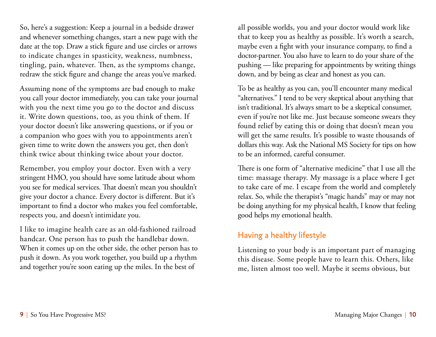So, here's a suggestion: Keep a journal in a bedside drawer and whenever something changes, start a new page with the date at the top. Draw a stick figure and use circles or arrows to indicate changes in spasticity, weakness, numbness, tingling, pain, whatever. Then, as the symptoms change, redraw the stick figure and change the areas you've marked.

Assuming none of the symptoms are bad enough to make you call your doctor immediately, you can take your journal with you the next time you go to the doctor and discuss it. Write down questions, too, as you think of them. If your doctor doesn't like answering questions, or if you or a companion who goes with you to appointments aren't given time to write down the answers you get, then don't think twice about thinking twice about your doctor.

Remember, you employ your doctor. Even with a very stringent HMO, you should have some latitude about whom you see for medical services. That doesn't mean you shouldn't give your doctor a chance. Every doctor is different. But it's important to find a doctor who makes you feel comfortable, respects you, and doesn't intimidate you.

I like to imagine health care as an old-fashioned railroad handcar. One person has to push the handlebar down. When it comes up on the other side, the other person has to push it down. As you work together, you build up a rhythm and together you're soon eating up the miles. In the best of

all possible worlds, you and your doctor would work like that to keep you as healthy as possible. It's worth a search, maybe even a fight with your insurance company, to find a doctor-partner. You also have to learn to do your share of the pushing — like preparing for appointments by writing things down, and by being as clear and honest as you can.

To be as healthy as you can, you'll encounter many medical "alternatives." I tend to be very skeptical about anything that isn't traditional. It's always smart to be a skeptical consumer, even if you're not like me. Just because someone swears they found relief by eating this or doing that doesn't mean you will get the same results. It's possible to waste thousands of dollars this way. Ask the National MS Society for tips on how to be an informed, careful consumer.

There is one form of "alternative medicine" that I use all the time: massage therapy. My massage is a place where I get to take care of me. I escape from the world and completely relax. So, while the therapist's "magic hands" may or may not be doing anything for my physical health, I know that feeling good helps my emotional health.

#### Having a healthy lifestyle

Listening to your body is an important part of managing this disease. Some people have to learn this. Others, like me, listen almost too well. Maybe it seems obvious, but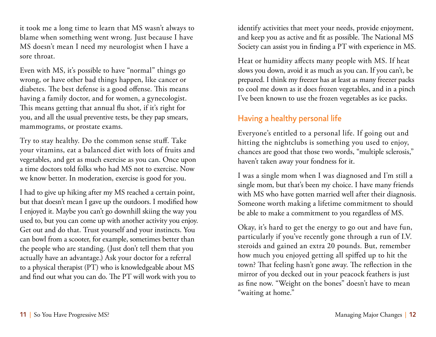it took me a long time to learn that MS wasn't always to blame when something went wrong. Just because I have MS doesn't mean I need my neurologist when I have a sore throat.

Even with MS, it's possible to have "normal" things go wrong, or have other bad things happen, like cancer or diabetes. The best defense is a good offense. This means having a family doctor, and for women, a gynecologist. This means getting that annual flu shot, if it's right for you, and all the usual preventive tests, be they pap smears, mammograms, or prostate exams.

Try to stay healthy. Do the common sense stuff. Take your vitamins, eat a balanced diet with lots of fruits and vegetables, and get as much exercise as you can. Once upon a time doctors told folks who had MS not to exercise. Now we know better. In moderation, exercise is good for you.

I had to give up hiking after my MS reached a certain point, but that doesn't mean I gave up the outdoors. I modified how I enjoyed it. Maybe you can't go downhill skiing the way you used to, but you can come up with another activity you enjoy. Get out and do that. Trust yourself and your instincts. You can bowl from a scooter, for example, sometimes better than the people who are standing. (Just don't tell them that you actually have an advantage.) Ask your doctor for a referral to a physical therapist (PT) who is knowledgeable about MS and find out what you can do. The PT will work with you to

identify activities that meet your needs, provide enjoyment, and keep you as active and fit as possible. The National MS Society can assist you in finding a PT with experience in MS.

Heat or humidity affects many people with MS. If heat slows you down, avoid it as much as you can. If you can't, be prepared. I think my freezer has at least as many freezer packs to cool me down as it does frozen vegetables, and in a pinch I've been known to use the frozen vegetables as ice packs.

### Having a healthy personal life

Everyone's entitled to a personal life. If going out and hitting the nightclubs is something you used to enjoy, chances are good that those two words, "multiple sclerosis," haven't taken away your fondness for it.

I was a single mom when I was diagnosed and I'm still a single mom, but that's been my choice. I have many friends with MS who have gotten married well after their diagnosis. Someone worth making a lifetime commitment to should be able to make a commitment to you regardless of MS.

Okay, it's hard to get the energy to go out and have fun, particularly if you've recently gone through a run of I.V. steroids and gained an extra 20 pounds. But, remember how much you enjoyed getting all spiffed up to hit the town? That feeling hasn't gone away. The reflection in the mirror of you decked out in your peacock feathers is just as fine now. "Weight on the bones" doesn't have to mean "waiting at home."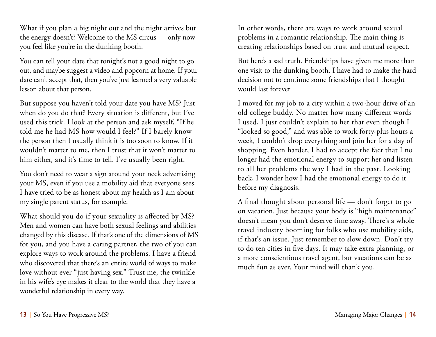What if you plan a big night out and the night arrives but the energy doesn't? Welcome to the MS circus — only now you feel like you're in the dunking booth.

You can tell your date that tonight's not a good night to go out, and maybe suggest a video and popcorn at home. If your date can't accept that, then you've just learned a very valuable lesson about that person.

But suppose you haven't told your date you have MS? Just when do you do that? Every situation is different, but I've used this trick. I look at the person and ask myself, "If he told me he had MS how would I feel?" If I barely know the person then I usually think it is too soon to know. If it wouldn't matter to me, then I trust that it won't matter to him either, and it's time to tell. I've usually been right.

You don't need to wear a sign around your neck advertising your MS, even if you use a mobility aid that everyone sees. I have tried to be as honest about my health as I am about my single parent status, for example.

What should you do if your sexuality is affected by MS? Men and women can have both sexual feelings and abilities changed by this disease. If that's one of the dimensions of MS for you, and you have a caring partner, the two of you can explore ways to work around the problems. I have a friend who discovered that there's an entire world of ways to make love without ever "just having sex." Trust me, the twinkle in his wife's eye makes it clear to the world that they have a wonderful relationship in every way.

In other words, there are ways to work around sexual problems in a romantic relationship. The main thing is creating relationships based on trust and mutual respect.

But here's a sad truth. Friendships have given me more than one visit to the dunking booth. I have had to make the hard decision not to continue some friendships that I thought would last forever.

I moved for my job to a city within a two-hour drive of an old college buddy. No matter how many different words I used, I just couldn't explain to her that even though I "looked so good," and was able to work forty-plus hours a week, I couldn't drop everything and join her for a day of shopping. Even harder, I had to accept the fact that I no longer had the emotional energy to support her and listen to all her problems the way I had in the past. Looking back, I wonder how I had the emotional energy to do it before my diagnosis.

A final thought about personal life — don't forget to go on vacation. Just because your body is "high maintenance" doesn't mean you don't deserve time away. There's a whole travel industry booming for folks who use mobility aids, if that's an issue. Just remember to slow down. Don't try to do ten cities in five days. It may take extra planning, or a more conscientious travel agent, but vacations can be as much fun as ever. Your mind will thank you.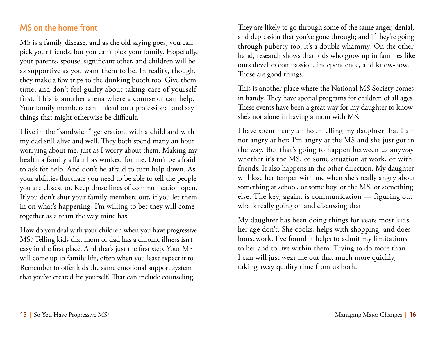#### MS on the home front

MS is a family disease, and as the old saying goes, you can pick your friends, but you can't pick your family. Hopefully, your parents, spouse, significant other, and children will be as supportive as you want them to be. In reality, though, they make a few trips to the dunking booth too. Give them time, and don't feel guilty about taking care of yourself first. This is another arena where a counselor can help. Your family members can unload on a professional and say things that might otherwise be difficult.

I live in the "sandwich" generation, with a child and with my dad still alive and well. They both spend many an hour worrying about me, just as I worry about them. Making my health a family affair has worked for me. Don't be afraid to ask for help. And don't be afraid to turn help down. As your abilities fluctuate you need to be able to tell the people you are closest to. Keep those lines of communication open. If you don't shut your family members out, if you let them in on what's happening, I'm willing to bet they will come together as a team the way mine has.

How do you deal with your children when you have progressive MS? Telling kids that mom or dad has a chronic illness isn't easy in the first place. And that's just the first step. Your MS will come up in family life, often when you least expect it to. Remember to offer kids the same emotional support system that you've created for yourself. That can include counseling.

They are likely to go through some of the same anger, denial, and depression that you've gone through; and if they're going through puberty too, it's a double whammy! On the other hand, research shows that kids who grow up in families like ours develop compassion, independence, and know-how. Those are good things.

This is another place where the National MS Society comes in handy. They have special programs for children of all ages. These events have been a great way for my daughter to know she's not alone in having a mom with MS.

I have spent many an hour telling my daughter that I am not angry at her; I'm angry at the MS and she just got in the way. But that's going to happen between us anyway whether it's the MS, or some situation at work, or with friends. It also happens in the other direction. My daughter will lose her temper with me when she's really angry about something at school, or some boy, or the MS, or something else. The key, again, is communication — figuring out what's really going on and discussing that.

My daughter has been doing things for years most kids her age don't. She cooks, helps with shopping, and does housework. I've found it helps to admit my limitations to her and to live within them. Trying to do more than I can will just wear me out that much more quickly, taking away quality time from us both.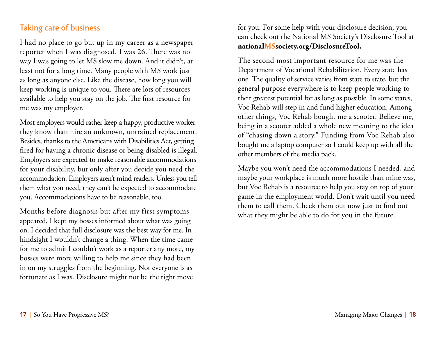#### Taking care of business

I had no place to go but up in my career as a newspaper reporter when I was diagnosed. I was 26. There was no way I was going to let MS slow me down. And it didn't, at least not for a long time. Many people with MS work just as long as anyone else. Like the disease, how long you will keep working is unique to you. There are lots of resources available to help you stay on the job. The first resource for me was my employer.

Most employers would rather keep a happy, productive worker they know than hire an unknown, untrained replacement. Besides, thanks to the Americans with Disabilities Act, getting fired for having a chronic disease or being disabled is illegal. Employers are expected to make reasonable accommodations for your disability, but only after you decide you need the accommodation. Employers aren't mind readers. Unless you tell them what you need, they can't be expected to accommodate you. Accommodations have to be reasonable, too.

Months before diagnosis but after my first symptoms appeared, I kept my bosses informed about what was going on. I decided that full disclosure was the best way for me. In hindsight I wouldn't change a thing. When the time came for me to admit I couldn't work as a reporter any more, my bosses were more willing to help me since they had been in on my struggles from the beginning. Not everyone is as fortunate as I was. Disclosure might not be the right move

for you. For some help with your disclosure decision, you can check out the National MS Society's Disclosure Tool at **nationalMSsociety.org/DisclosureTool.**

The second most important resource for me was the Department of Vocational Rehabilitation. Every state has one. The quality of service varies from state to state, but the general purpose everywhere is to keep people working to their greatest potential for as long as possible. In some states, Voc Rehab will step in and fund higher education. Among other things, Voc Rehab bought me a scooter. Believe me, being in a scooter added a whole new meaning to the idea of "chasing down a story." Funding from Voc Rehab also bought me a laptop computer so I could keep up with all the other members of the media pack.

Maybe you won't need the accommodations I needed, and maybe your workplace is much more hostile than mine was, but Voc Rehab is a resource to help you stay on top of your game in the employment world. Don't wait until you need them to call them. Check them out now just to find out what they might be able to do for you in the future.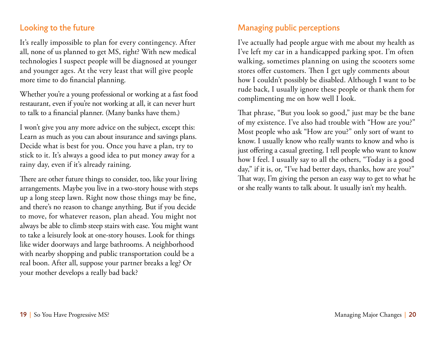#### Looking to the future

It's really impossible to plan for every contingency. After all, none of us planned to get MS, right? With new medical technologies I suspect people will be diagnosed at younger and younger ages. At the very least that will give people more time to do financial planning.

Whether you're a young professional or working at a fast food restaurant, even if you're not working at all, it can never hurt to talk to a financial planner. (Many banks have them.)

I won't give you any more advice on the subject, except this: Learn as much as you can about insurance and savings plans. Decide what is best for you. Once you have a plan, try to stick to it. It's always a good idea to put money away for a rainy day, even if it's already raining.

There are other future things to consider, too, like your living arrangements. Maybe you live in a two-story house with steps up a long steep lawn. Right now those things may be fine, and there's no reason to change anything. But if you decide to move, for whatever reason, plan ahead. You might not always be able to climb steep stairs with ease. You might want to take a leisurely look at one-story houses. Look for things like wider doorways and large bathrooms. A neighborhood with nearby shopping and public transportation could be a real boon. After all, suppose your partner breaks a leg? Or your mother develops a really bad back?

### Managing public perceptions

I've actually had people argue with me about my health as I've left my car in a handicapped parking spot. I'm often walking, sometimes planning on using the scooters some stores offer customers. Then I get ugly comments about how I couldn't possibly be disabled. Although I want to be rude back, I usually ignore these people or thank them for complimenting me on how well I look.

That phrase, "But you look so good," just may be the bane of my existence. I've also had trouble with "How are you?" Most people who ask "How are you?" only sort of want to know. I usually know who really wants to know and who is just offering a casual greeting. I tell people who want to know how I feel. I usually say to all the others, "Today is a good day," if it is, or, "I've had better days, thanks, how are you?" That way, I'm giving the person an easy way to get to what he or she really wants to talk about. It usually isn't my health.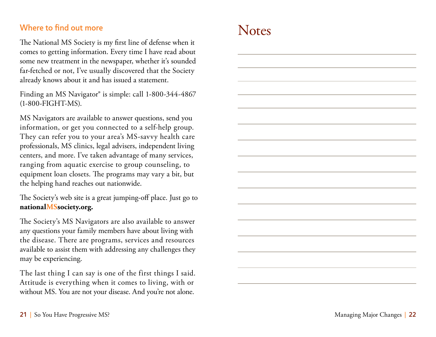#### Where to find out more

The National MS Society is my first line of defense when it comes to getting information. Every time I have read about some new treatment in the newspaper, whether it's sounded far-fetched or not, I've usually discovered that the Society already knows about it and has issued a statement.

Finding an MS Navigator® is simple: call 1-800-344-4867 (1-800-FIGHT-MS).

MS Navigators are available to answer questions, send you information, or get you connected to a self-help group. They can refer you to your area's MS-savvy health care professionals, MS clinics, legal advisers, independent living centers, and more. I've taken advantage of many services, ranging from aquatic exercise to group counseling, to equipment loan closets. The programs may vary a bit, but the helping hand reaches out nationwide.

The Society's web site is a great jumping-off place. Just go to **nationalMSsociety.org.**

The Society's MS Navigators are also available to answer any questions your family members have about living with the disease. There are programs, services and resources available to assist them with addressing any challenges they may be experiencing.

The last thing I can say is one of the first things I said. Attitude is everything when it comes to living, with or without MS. You are not your disease. And you're not alone.

## **Notes**

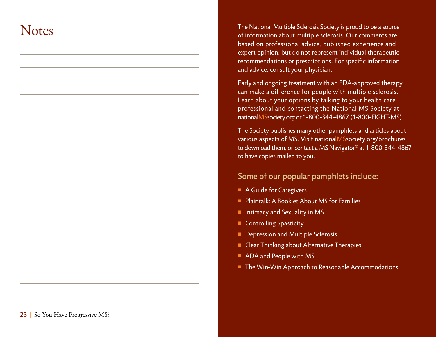## **Notes**

The National Multiple Sclerosis Society is proud to be a source of information about multiple sclerosis. Our comments are based on professional advice, published experience and expert opinion, but do not represent individual therapeutic recommendations or prescriptions. For specific information and advice, consult your physician.

Early and ongoing treatment with an FDA-approved therapy can make a difference for people with multiple sclerosis. Learn about your options by talking to your health care professional and contacting the National MS Society at nationalMSsociety.org or 1-800-344-4867 (1-800-FIGHT-MS).

The Society publishes many other pamphlets and articles about various aspects of MS. Visit nationalMSsociety.org/brochures to download them, or contact a MS Navigator® at 1-800-344-4867 to have copies mailed to you.

#### Some of our popular pamphlets include:

- A Guide for Caregivers
- Plaintalk: A Booklet About MS for Families
- $\blacksquare$  Intimacy and Sexuality in MS
- **n** Controlling Spasticity
- Depression and Multiple Sclerosis
- Clear Thinking about Alternative Therapies
- ADA and People with MS
- The Win-Win Approach to Reasonable Accommodations